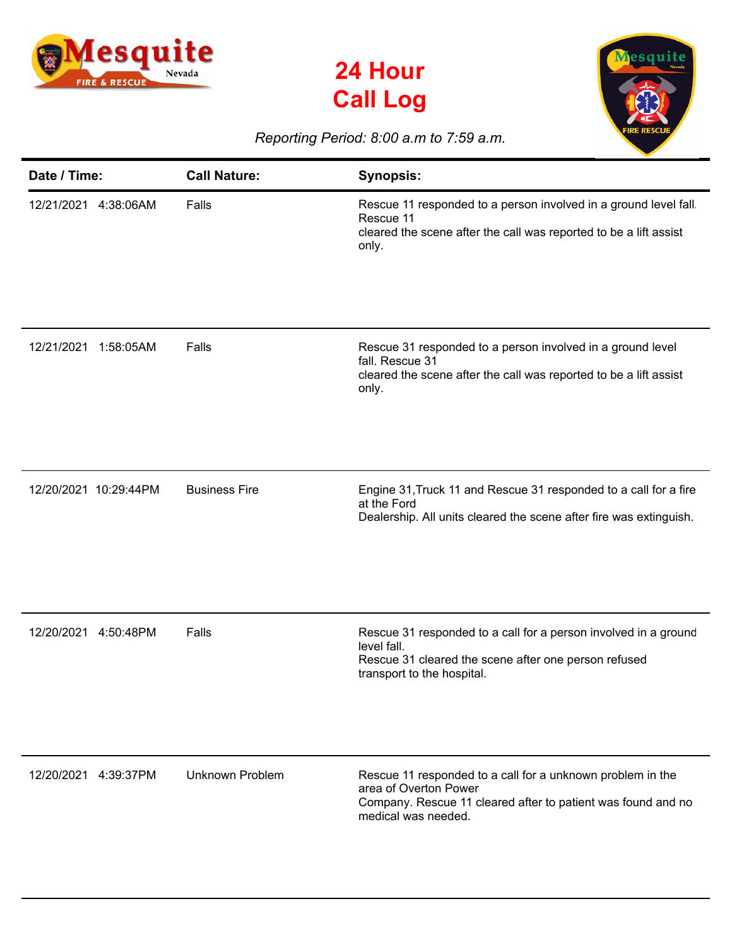





## *Reporting Period: 8:00 a.m to 7:59 a.m.*

| Date / Time:            | <b>Call Nature:</b>    | <b>Synopsis:</b>                                                                                                                                                           |
|-------------------------|------------------------|----------------------------------------------------------------------------------------------------------------------------------------------------------------------------|
| 12/21/2021 4:38:06AM    | Falls                  | Rescue 11 responded to a person involved in a ground level fall<br>Rescue 11<br>cleared the scene after the call was reported to be a lift assist<br>only.                 |
| 12/21/2021<br>1:58:05AM | Falls                  | Rescue 31 responded to a person involved in a ground level<br>fall. Rescue 31<br>cleared the scene after the call was reported to be a lift assist<br>only.                |
| 12/20/2021 10:29:44PM   | <b>Business Fire</b>   | Engine 31, Truck 11 and Rescue 31 responded to a call for a fire<br>at the Ford<br>Dealership. All units cleared the scene after fire was extinguish.                      |
| 12/20/2021<br>4:50:48PM | Falls                  | Rescue 31 responded to a call for a person involved in a ground<br>level fall.<br>Rescue 31 cleared the scene after one person refused<br>transport to the hospital.       |
| 12/20/2021 4:39:37PM    | <b>Unknown Problem</b> | Rescue 11 responded to a call for a unknown problem in the<br>area of Overton Power<br>Company. Rescue 11 cleared after to patient was found and no<br>medical was needed. |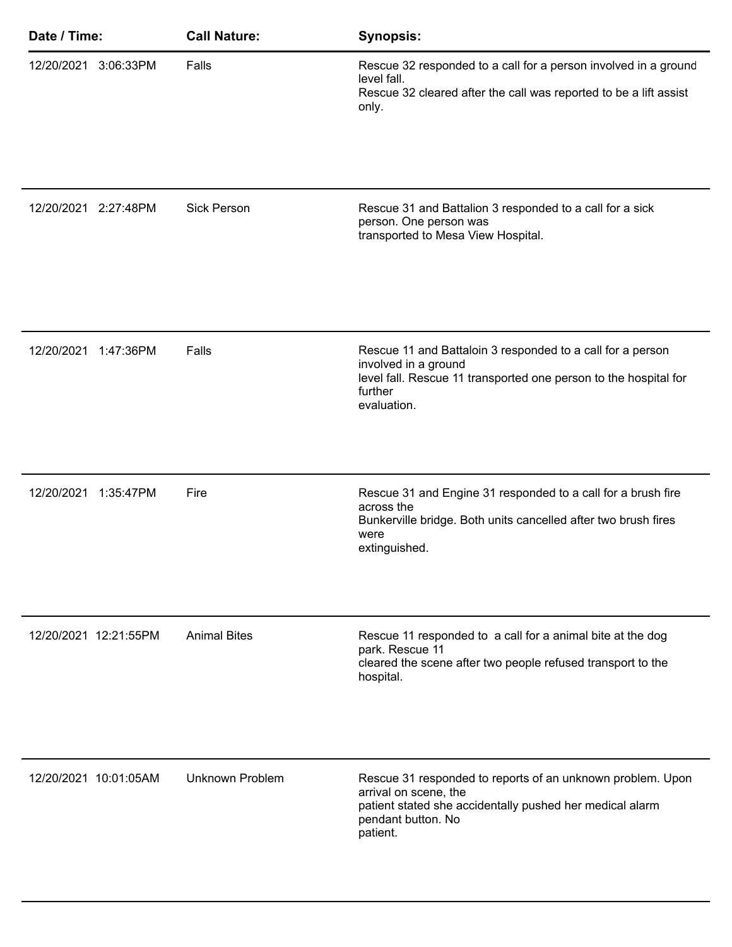| Date / Time:            | <b>Call Nature:</b>    | <b>Synopsis:</b>                                                                                                                                                                  |
|-------------------------|------------------------|-----------------------------------------------------------------------------------------------------------------------------------------------------------------------------------|
| 12/20/2021 3:06:33PM    | Falls                  | Rescue 32 responded to a call for a person involved in a ground<br>level fall.<br>Rescue 32 cleared after the call was reported to be a lift assist<br>only.                      |
| 12/20/2021 2:27:48PM    | <b>Sick Person</b>     | Rescue 31 and Battalion 3 responded to a call for a sick<br>person. One person was<br>transported to Mesa View Hospital.                                                          |
| 12/20/2021<br>1:47:36PM | Falls                  | Rescue 11 and Battaloin 3 responded to a call for a person<br>involved in a ground<br>level fall. Rescue 11 transported one person to the hospital for<br>further<br>evaluation.  |
| 12/20/2021<br>1:35:47PM | Fire                   | Rescue 31 and Engine 31 responded to a call for a brush fire<br>across the<br>Bunkerville bridge. Both units cancelled after two brush fires<br>were<br>extinguished.             |
| 12/20/2021 12:21:55PM   | <b>Animal Bites</b>    | Rescue 11 responded to a call for a animal bite at the dog<br>park. Rescue 11<br>cleared the scene after two people refused transport to the<br>hospital.                         |
| 12/20/2021 10:01:05AM   | <b>Unknown Problem</b> | Rescue 31 responded to reports of an unknown problem. Upon<br>arrival on scene, the<br>patient stated she accidentally pushed her medical alarm<br>pendant button. No<br>patient. |